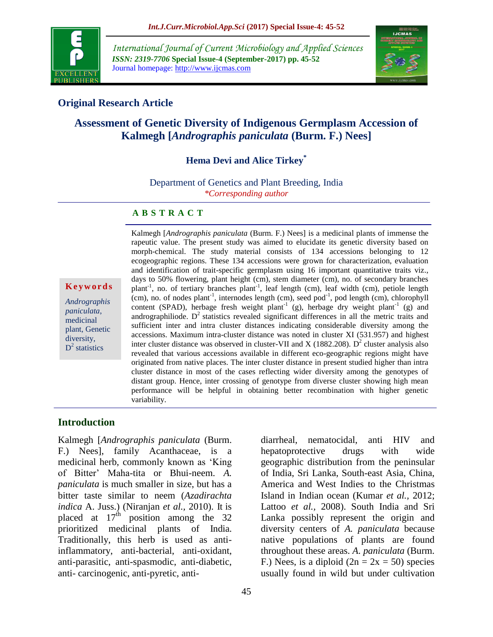

*International Journal of Current Microbiology and Applied Sciences ISSN: 2319-7706* **Special Issue-4 (September-2017) pp. 45-52** Journal homepage: http://www.ijcmas.com



## **Original Research Article**

# **Assessment of Genetic Diversity of Indigenous Germplasm Accession of Kalmegh [***Andrographis paniculata* **(Burm. F.) Nees]**

## **Hema Devi and Alice Tirkey\***

Department of Genetics and Plant Breeding, India *\*Corresponding author*

### **A B S T R A C T**

#### **K e y w o r d s**

*Andrographis paniculata*, medicinal plant, Genetic diversity,  $D^2$  statistics

Kalmegh [*Andrographis paniculata* (Burm. F.) Nees] is a medicinal plants of immense the rapeutic value. The present study was aimed to elucidate its genetic diversity based on morph-chemical. The study material consists of 134 accessions belonging to 12 ecogeographic regions. These 134 accessions were grown for characterization, evaluation and identification of trait-specific germplasm using 16 important quantitative traits viz., days to 50% flowering, plant height (cm), stem diameter (cm), no. of secondary branches plant<sup>-1</sup>, no. of tertiary branches plant<sup>-1</sup>, leaf length (cm), leaf width (cm), petiole length  $\text{(cm)}$ , no. of nodes plant<sup>-1</sup>, internodes length (cm), seed pod<sup>-1</sup>, pod length (cm), chlorophyll content (SPAD), herbage fresh weight plant<sup>-1</sup> (g), herbage dry weight plant<sup>-1</sup> (g) and andrographiliode.  $D<sup>2</sup>$  statistics revealed significant differences in all the metric traits and sufficient inter and intra cluster distances indicating considerable diversity among the accessions. Maximum intra-cluster distance was noted in cluster XI (531.957) and highest inter cluster distance was observed in cluster-VII and X (1882.208).  $D^2$  cluster analysis also revealed that various accessions available in different eco-geographic regions might have originated from native places. The inter cluster distance in present studied higher than intra cluster distance in most of the cases reflecting wider diversity among the genotypes of distant group. Hence, inter crossing of genotype from diverse cluster showing high mean performance will be helpful in obtaining better recombination with higher genetic variability.

### **Introduction**

Kalmegh [*Andrographis paniculata* (Burm. F.) Nees], family Acanthaceae, is a medicinal herb, commonly known as "King of Bitter" Maha-tita or Bhui-neem. *A. paniculata* is much smaller in size, but has a bitter taste similar to neem (*Azadirachta indica* A. Juss.) (Niranjan *et al.,* 2010). It is placed at  $17<sup>th</sup>$  position among the 32 prioritized medicinal plants of India. Traditionally, this herb is used as antiinflammatory, anti-bacterial, anti-oxidant, anti-parasitic, anti-spasmodic, anti-diabetic, anti- carcinogenic, anti-pyretic, anti-

diarrheal, nematocidal, anti HIV and hepatoprotective drugs with wide geographic distribution from the peninsular of India, Sri Lanka, South-east Asia, China, America and West Indies to the Christmas Island in Indian ocean (Kumar *et al.,* 2012; Lattoo *et al.,* 2008). South India and Sri Lanka possibly represent the origin and diversity centers of *A. paniculata* because native populations of plants are found throughout these areas. *A. paniculata* (Burm. F.) Nees, is a diploid  $(2n = 2x = 50)$  species usually found in wild but under cultivation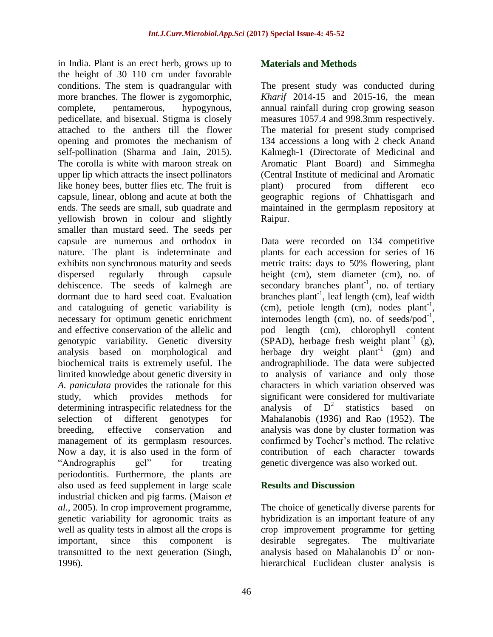in India. Plant is an erect herb, grows up to the height of 30–110 cm under favorable conditions. The stem is quadrangular with more branches. The flower is zygomorphic, complete, pentamerous, hypogynous, pedicellate, and bisexual. Stigma is closely attached to the anthers till the flower opening and promotes the mechanism of self-pollination (Sharma and Jain, 2015). The corolla is white with maroon streak on upper lip which attracts the insect pollinators like honey bees, butter flies etc. The fruit is capsule, linear, oblong and acute at both the ends. The seeds are small, sub quadrate and yellowish brown in colour and slightly smaller than mustard seed. The seeds per capsule are numerous and orthodox in nature. The plant is indeterminate and exhibits non synchronous maturity and seeds dispersed regularly through capsule dehiscence. The seeds of kalmegh are dormant due to hard seed coat. Evaluation and cataloguing of genetic variability is necessary for optimum genetic enrichment and effective conservation of the allelic and genotypic variability. Genetic diversity analysis based on morphological and biochemical traits is extremely useful. The limited knowledge about genetic diversity in *A. paniculata* provides the rationale for this study, which provides methods for determining intraspecific relatedness for the selection of different genotypes for breeding, effective conservation and management of its germplasm resources. Now a day, it is also used in the form of "Andrographis gel" for treating periodontitis. Furthermore, the plants are also used as feed supplement in large scale industrial chicken and pig farms. (Maison *et al.,* 2005). In crop improvement programme, genetic variability for agronomic traits as well as quality tests in almost all the crops is important, since this component is transmitted to the next generation (Singh, 1996).

### **Materials and Methods**

The present study was conducted during *Kharif* 2014-15 and 2015-16, the mean annual rainfall during crop growing season measures 1057.4 and 998.3mm respectively. The material for present study comprised 134 accessions a long with 2 check Anand Kalmegh-1 (Directorate of Medicinal and Aromatic Plant Board) and Simmegha (Central Institute of medicinal and Aromatic plant) procured from different eco geographic regions of Chhattisgarh and maintained in the germplasm repository at Raipur.

Data were recorded on 134 competitive plants for each accession for series of 16 metric traits: days to 50% flowering, plant height (cm), stem diameter (cm), no. of secondary branches plant<sup>-1</sup>, no. of tertiary branches plant<sup>-1</sup>, leaf length (cm), leaf width  $(cm)$ , petiole length  $(cm)$ , nodes plant<sup>-1</sup>, internodes length (cm), no. of seeds/pod $^{-1}$ , pod length (cm), chlorophyll content  $(SPAD)$ , herbage fresh weight plant<sup>-1</sup> (g), herbage dry weight plant<sup>-1</sup> (gm) and andrographiliode. The data were subjected to analysis of variance and only those characters in which variation observed was significant were considered for multivariate analysis of  $D^2$  statistics based on Mahalanobis (1936) and Rao (1952). The analysis was done by cluster formation was confirmed by Tocher"s method. The relative contribution of each character towards genetic divergence was also worked out.

### **Results and Discussion**

The choice of genetically diverse parents for hybridization is an important feature of any crop improvement programme for getting desirable segregates. The multivariate analysis based on Mahalanobis  $D^2$  or nonhierarchical Euclidean cluster analysis is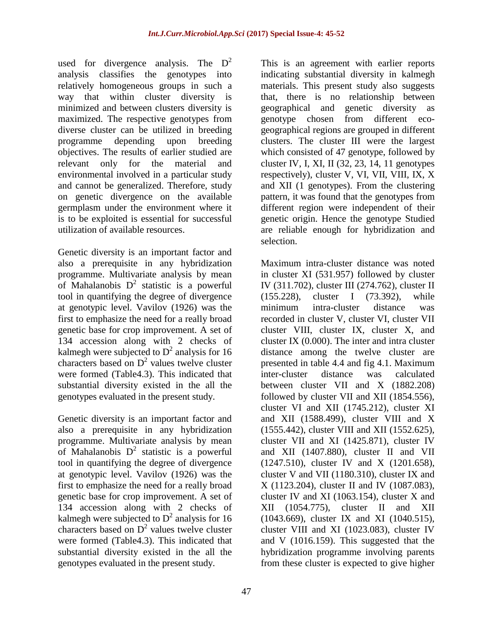used for divergence analysis. The  $D^2$ analysis classifies the genotypes into relatively homogeneous groups in such a way that within cluster diversity is minimized and between clusters diversity is maximized. The respective genotypes from diverse cluster can be utilized in breeding programme depending upon breeding objectives. The results of earlier studied are relevant only for the material and environmental involved in a particular study and cannot be generalized. Therefore, study on genetic divergence on the available germplasm under the environment where it is to be exploited is essential for successful utilization of available resources.

Genetic diversity is an important factor and also a prerequisite in any hybridization programme. Multivariate analysis by mean of Mahalanobis  $D^2$  statistic is a powerful tool in quantifying the degree of divergence at genotypic level. Vavilov (1926) was the first to emphasize the need for a really broad genetic base for crop improvement. A set of 134 accession along with 2 checks of kalmegh were subjected to  $D^2$  analysis for 16 characters based on  $D^2$  values twelve cluster were formed (Table4.3). This indicated that substantial diversity existed in the all the genotypes evaluated in the present study.

Genetic diversity is an important factor and also a prerequisite in any hybridization programme. Multivariate analysis by mean of Mahalanobis  $D^2$  statistic is a powerful tool in quantifying the degree of divergence at genotypic level. Vavilov (1926) was the first to emphasize the need for a really broad genetic base for crop improvement. A set of 134 accession along with 2 checks of kalmegh were subjected to  $D^2$  analysis for 16 characters based on  $D^2$  values twelve cluster were formed (Table4.3). This indicated that substantial diversity existed in the all the genotypes evaluated in the present study.

This is an agreement with earlier reports indicating substantial diversity in kalmegh materials. This present study also suggests that, there is no relationship between geographical and genetic diversity as genotype chosen from different ecogeographical regions are grouped in different clusters. The cluster III were the largest which consisted of 47 genotype, followed by cluster IV, I, XI, II (32, 23, 14, 11 genotypes respectively), cluster V, VI, VII, VIII, IX, X and XII (1 genotypes). From the clustering pattern, it was found that the genotypes from different region were independent of their genetic origin. Hence the genotype Studied are reliable enough for hybridization and selection.

Maximum intra-cluster distance was noted in cluster XI (531.957) followed by cluster IV (311.702), cluster III (274.762), cluster II (155.228), cluster I (73.392), while minimum intra-cluster distance was recorded in cluster V, cluster VI, cluster VII cluster VIII, cluster IX, cluster X, and cluster IX (0.000). The inter and intra cluster distance among the twelve cluster are presented in table 4.4 and fig 4.1. Maximum inter-cluster distance was calculated between cluster VII and X (1882.208) followed by cluster VII and XII (1854.556), cluster VI and XII (1745.212), cluster XI and XII (1588.499), cluster VIII and X (1555.442), cluster VIII and XII (1552.625), cluster VII and XI (1425.871), cluster IV and XII (1407.880), cluster II and VII (1247.510), cluster IV and X (1201.658), cluster V and VII (1180.310), cluster IX and X (1123.204), cluster II and IV (1087.083), cluster IV and XI (1063.154), cluster  $X$  and XII (1054.775), cluster II and XII (1043.669), cluster IX and XI (1040.515), cluster VIII and XI (1023.083), cluster IV and V (1016.159). This suggested that the hybridization programme involving parents from these cluster is expected to give higher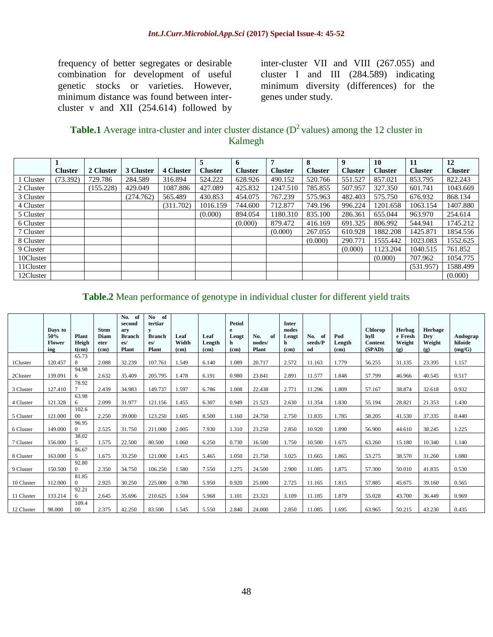frequency of better segregates or desirable combination for development of useful genetic stocks or varieties. However, minimum distance was found between intercluster v and XII (254.614) followed by inter-cluster VII and VIII (267.055) and cluster I and III (284.589) indicating minimum diversity (differences) for the genes under study.

| <b>Table.1</b> Average intra-cluster and inter cluster distance $(D^2 \text{ values})$ among the 12 cluster in |  |
|----------------------------------------------------------------------------------------------------------------|--|
| Kalmegh                                                                                                        |  |

|                |                |           |           |           | 5              | 6              | 7              | 8              | 9              | 10             | 11             | 12             |
|----------------|----------------|-----------|-----------|-----------|----------------|----------------|----------------|----------------|----------------|----------------|----------------|----------------|
|                | <b>Cluster</b> | 2 Cluster | 3 Cluster | 4 Cluster | <b>Cluster</b> | <b>Cluster</b> | <b>Cluster</b> | <b>Cluster</b> | <b>Cluster</b> | <b>Cluster</b> | <b>Cluster</b> | <b>Cluster</b> |
| <b>Cluster</b> | (73.392)       | 729.786   | 284.589   | 316.894   | 524.222        | 628.926        | 490.152        | 520.766        | 551.527        | 857.021        | 853.795        | 822.243        |
| 2 Cluster      |                | (155.228) | 429.049   | 1087.886  | 427.089        | 425.832        | 1247.510       | 785.855        | 507.957        | 327.350        | 601.741        | 1043.669       |
| 3 Cluster      |                |           | (274.762) | 565.489   | 430.853        | 454.075        | 767.239        | 575.963        | 482.403        | 575.750        | 676.932        | 868.134        |
| 4 Cluster      |                |           |           | (311.702) | 1016.159       | 744.600        | 712.877        | 749.196        | 996.224        | 1201.658       | 1063.154       | 1407.880       |
| 5 Cluster      |                |           |           |           | (0.000)        | 894.054        | 1180.310       | 835.100        | 286.361        | 655.044        | 963.970        | 254.614        |
| 6 Cluster      |                |           |           |           |                | (0.000)        | 879.472        | 416.169        | 691.325        | 806.992        | 544.941        | 1745.212       |
| 7 Cluster      |                |           |           |           |                |                | (0.000)        | 267.055        | 610.928        | 1882.208       | 1425.871       | 1854.556       |
| 8 Cluster      |                |           |           |           |                |                |                | (0.000)        | 290.771        | 1555.442       | 1023.083       | 1552.625       |
| 9 Cluster      |                |           |           |           |                |                |                |                | (0.000)        | 1123.204       | 1040.515       | 761.852        |
| 10Cluster      |                |           |           |           |                |                |                |                |                | (0.000)        | 707.962        | 1054.775       |
| 11Cluster      |                |           |           |           |                |                |                |                |                |                | (531.957)      | 1588.499       |
| 12Cluster      |                |           |           |           |                |                |                |                |                |                |                | (0.000)        |

**Table.2** Mean performance of genotype in individual cluster for different yield traits

|            | Days to<br>50%<br>Flower | <b>Plant</b><br>Heigh             | <b>Stem</b><br>Diam<br>eter | No.<br>of<br>second<br>ary<br><b>Branch</b><br>es/ | No.<br>of<br>tertiar<br>у<br><b>Branch</b><br>es/ | Leaf<br>Width     | Leaf<br>Length    | <b>Petiol</b><br>e<br>Lengt<br>h. | No.<br>of<br>nodes/ | <b>Inter</b><br>nodes<br>Lengt<br>h | No.<br>- of<br>seeds/P | Pod<br>Length     | <b>Chlorop</b><br>hvll<br>Content | Herbag<br>e Fresh<br>Weight | Herbage<br>Dry<br>Weight | Andograp<br>hiloide |
|------------|--------------------------|-----------------------------------|-----------------------------|----------------------------------------------------|---------------------------------------------------|-------------------|-------------------|-----------------------------------|---------------------|-------------------------------------|------------------------|-------------------|-----------------------------------|-----------------------------|--------------------------|---------------------|
|            | ing                      | $t$ (cm)                          | (c <sub>m</sub> )           | Plant                                              | Plant                                             | (c <sub>m</sub> ) | (c <sub>m</sub> ) | (c <sub>m</sub> )                 | Plant               | (c <sub>m</sub> )                   | od                     | (c <sub>m</sub> ) | (SPAD)                            | (g)                         | (g)                      | (mg/G)              |
| 1Cluster   | 120.457                  | 65.73<br>8                        | 2.088                       | 32.239                                             | 107.761                                           | 1.549             | 6.140             | 1.089                             | 20.717              | 2.572                               | 11.163                 | 1.779             | 56.255                            | 31.135                      | 23.395                   | 1.157               |
| 2Cluster   | 139.091                  | 94.98<br>6                        | 2.632                       | 35.409                                             | 205.795                                           | 1.478             | 6.191             | 0.980                             | 23.841              | 2.891                               | 11.577                 | 1.848             | 57.799                            | 46.966                      | 40.545                   | 0.517               |
| 3 Cluster  | 127.410                  | 78.92                             | 2.439                       | 34.983                                             | 149.737                                           | 1.597             | 6.786             | 1.008                             | 22.438              | 2.771                               | 11.296                 | 1.809             | 57.167                            | 38.874                      | 32.618                   | 0.932               |
| 4 Cluster  | 121.328                  | 63.98<br>6                        | 2.099                       | 31.977                                             | 121.156                                           | 1.455             | 6.307             | 0.949                             | 21.523              | 2.630                               | 11.354                 | 1.830             | 55.194                            | 28.821                      | 21.353                   | 1.430               |
| 5 Cluster  | 121.000                  | 102.6<br>$00\,$                   | 2.250                       | 39,000                                             | 123.250                                           | 1.605             | 8.500             | 1.160                             | 24.750              | 2.750                               | 11.835                 | 1.785             | 58.205                            | 41.530                      | 37.335                   | 0.440               |
| 6 Cluster  | 149.000                  | 96.95<br>$\Omega$                 | 2.525                       | 31.750                                             | 211.000                                           | 2.005             | 7.930             | 1.310                             | 23.250              | 2.850                               | 10.920                 | 1.890             | 56.900                            | 44.610                      | 38.245                   | 1.225               |
| 7 Cluster  | 156.000                  | 38.02<br>$\overline{\phantom{1}}$ | 1.575                       | 22.500                                             | 80.500                                            | 1.060             | 6.250             | 0.730                             | 16.500              | 1.750                               | 10.500                 | 1.675             | 63.260                            | 15.180                      | 10.340                   | 1.140               |
| 8 Cluster  | 163.000                  | 86.67                             | 1.675                       | 33.250                                             | 121.000                                           | 1.415             | 5.465             | 1.050                             | 21.750              | 3.025                               | 11.665                 | 1.865             | 53.275                            | 38.570                      | 31.260                   | 1.080               |
| 9 Cluster  | 150.500                  | 92.80<br>$\Omega$                 | 2.350                       | 34.750                                             | 106.250                                           | 1.580             | 7.550             | 1.275                             | 24.500              | 2.900                               | 11.085                 | 1.875             | 57.300                            | 50.010                      | 41.835                   | 0.530               |
| 10 Cluster | 112.000                  | 81.85                             | 2.925                       | 30.250                                             | 225.000                                           | 0.780             | 5.950             | 0.920                             | 25.000              | 2.725                               | 11.165                 | 1.815             | 57.885                            | 45.675                      | 39.160                   | 0.565               |
| 11 Cluster | 133.214                  | 92.21<br>6                        | 2.645                       | 35.696                                             | 210.625                                           | 1.504             | 5.968             | 1.101                             | 23.321              | 3.109                               | 11.185                 | 1.879             | 55.028                            | 43.700                      | 36.449                   | 0.969               |
| 12 Cluster | 98.000                   | 109.4<br>$00\,$                   | 2.375                       | 42.250                                             | 83.500                                            | 1.545             | 5.550             | 2.840                             | 24.000              | 2.850                               | 11.085                 | 1.695             | 63.965                            | 50.215                      | 43.230                   | 0.435               |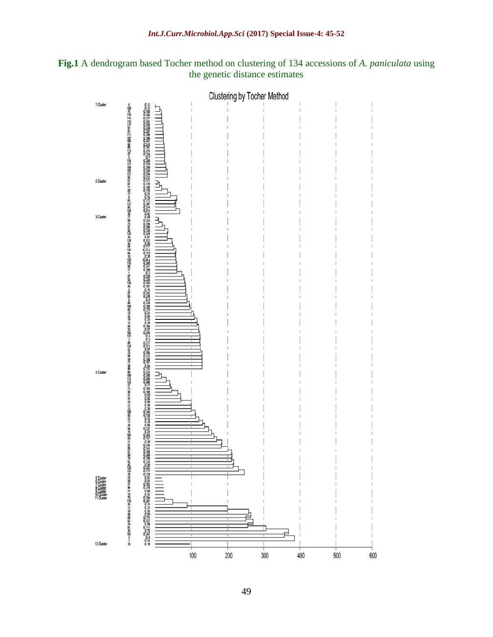

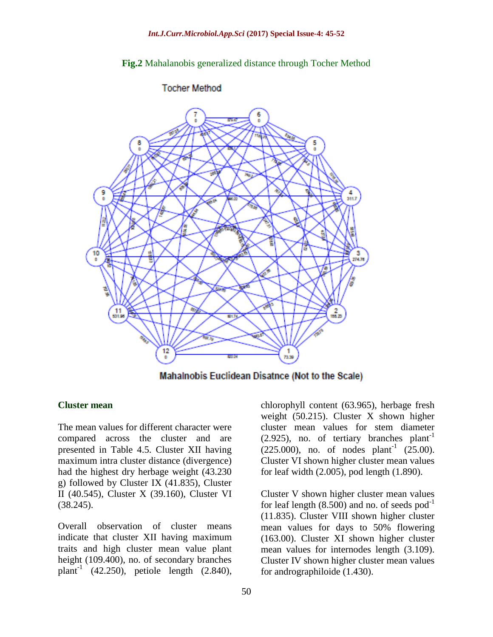### **Fig.2** Mahalanobis generalized distance through Tocher Method



### **Tocher Method**

Mahalnobis Euclidean Disatnce (Not to the Scale)

#### **Cluster mean**

The mean values for different character were compared across the cluster and are presented in Table 4.5. Cluster XII having maximum intra cluster distance (divergence) had the highest dry herbage weight (43.230 g) followed by Cluster IX (41.835), Cluster II (40.545), Cluster X (39.160), Cluster VI (38.245).

Overall observation of cluster means indicate that cluster XII having maximum traits and high cluster mean value plant height (109.400), no. of secondary branches plant<sup>-1</sup> (42.250), petiole length (2.840), chlorophyll content (63.965), herbage fresh weight (50.215). Cluster X shown higher cluster mean values for stem diameter  $(2.925)$ , no. of tertiary branches plant<sup>-1</sup>  $(225.000)$ , no. of nodes plant<sup>-1</sup>  $(25.00)$ . Cluster VI shown higher cluster mean values for leaf width (2.005), pod length (1.890).

Cluster V shown higher cluster mean values for leaf length  $(8.500)$  and no. of seeds pod<sup>-1</sup> (11.835). Cluster VIII shown higher cluster mean values for days to 50% flowering (163.00). Cluster XI shown higher cluster mean values for internodes length (3.109). Cluster IV shown higher cluster mean values for andrographiloide (1.430).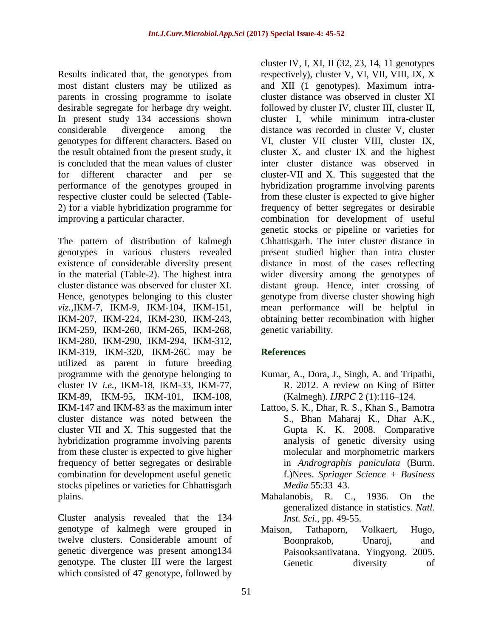Results indicated that, the genotypes from most distant clusters may be utilized as parents in crossing programme to isolate desirable segregate for herbage dry weight. In present study 134 accessions shown considerable divergence among the genotypes for different characters. Based on the result obtained from the present study, it is concluded that the mean values of cluster for different character and per se performance of the genotypes grouped in respective cluster could be selected (Table-2) for a viable hybridization programme for improving a particular character.

The pattern of distribution of kalmegh genotypes in various clusters revealed existence of considerable diversity present in the material (Table-2). The highest intra cluster distance was observed for cluster XI. Hence, genotypes belonging to this cluster *viz.,*IKM-7, IKM-9, IKM-104, IKM-151, IKM-207, IKM-224, IKM-230, IKM-243, IKM-259, IKM-260, IKM-265, IKM-268, IKM-280, IKM-290, IKM-294, IKM-312, IKM-319, IKM-320, IKM-26C may be utilized as parent in future breeding programme with the genotype belonging to cluster IV *i.e.,* IKM-18, IKM-33, IKM-77, IKM-89, IKM-95, IKM-101, IKM-108, IKM-147 and IKM-83 as the maximum inter cluster distance was noted between the cluster VII and X. This suggested that the hybridization programme involving parents from these cluster is expected to give higher frequency of better segregates or desirable combination for development useful genetic stocks pipelines or varieties for Chhattisgarh plains.

Cluster analysis revealed that the 134 genotype of kalmegh were grouped in twelve clusters. Considerable amount of genetic divergence was present among134 genotype. The cluster III were the largest which consisted of 47 genotype, followed by

cluster IV, I, XI, II (32, 23, 14, 11 genotypes respectively), cluster V, VI, VII, VIII, IX, X and XII (1 genotypes). Maximum intracluster distance was observed in cluster XI followed by cluster IV, cluster III, cluster II, cluster I, while minimum intra-cluster distance was recorded in cluster V, cluster VI, cluster VII cluster VIII, cluster IX, cluster X, and cluster IX and the highest inter cluster distance was observed in cluster-VII and X. This suggested that the hybridization programme involving parents from these cluster is expected to give higher frequency of better segregates or desirable combination for development of useful genetic stocks or pipeline or varieties for Chhattisgarh. The inter cluster distance in present studied higher than intra cluster distance in most of the cases reflecting wider diversity among the genotypes of distant group. Hence, inter crossing of genotype from diverse cluster showing high mean performance will be helpful in obtaining better recombination with higher genetic variability.

## **References**

- Kumar, A., Dora, J., Singh, A. and Tripathi, R. 2012. A review on King of Bitter (Kalmegh). *IJRPC* 2 (1):116–124.
- Lattoo, S. K., Dhar, R. S., Khan S., Bamotra S., Bhan Maharaj K., Dhar A.K., Gupta K. K. 2008. Comparative analysis of genetic diversity using molecular and morphometric markers in *Andrographis paniculata* (Burm. f.)Nees. *Springer Science + Business Media* 55:33–43.
- Mahalanobis, R. C., 1936. On the generalized distance in statistics. *Natl. Inst. Sci*., pp. 49-55.
- Maison, Tathaporn, Volkaert, Hugo, Boonprakob, Unaroj, and Paisooksantivatana, Yingyong. 2005. Genetic diversity of